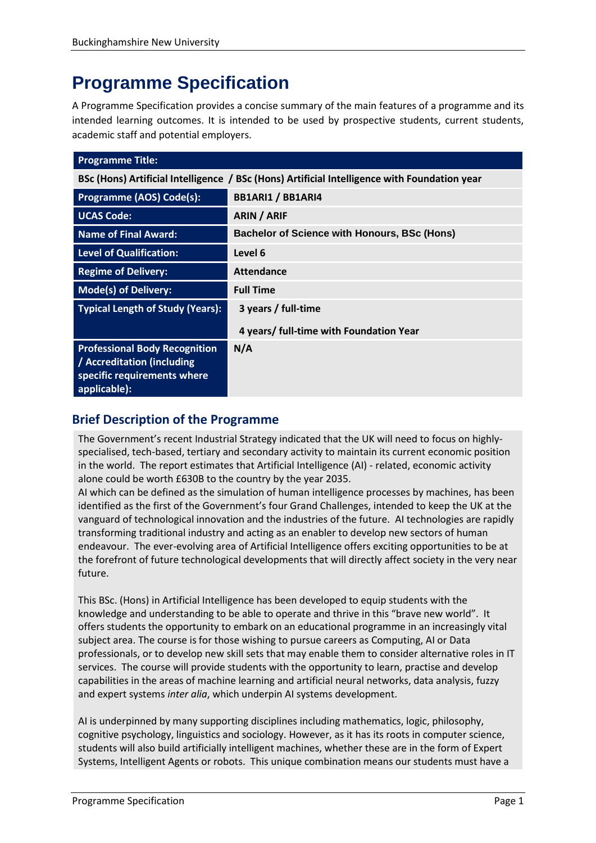# **Programme Specification**

A Programme Specification provides a concise summary of the main features of a programme and its intended learning outcomes. It is intended to be used by prospective students, current students, academic staff and potential employers.

| <b>Programme Title:</b>                                                                                           |                                                     |  |
|-------------------------------------------------------------------------------------------------------------------|-----------------------------------------------------|--|
| BSc (Hons) Artificial Intelligence / BSc (Hons) Artificial Intelligence with Foundation year                      |                                                     |  |
| Programme (AOS) Code(s):                                                                                          | <b>BB1ARI1 / BB1ARI4</b>                            |  |
| <b>UCAS Code:</b>                                                                                                 | <b>ARIN / ARIF</b>                                  |  |
| <b>Name of Final Award:</b>                                                                                       | <b>Bachelor of Science with Honours, BSc (Hons)</b> |  |
| <b>Level of Qualification:</b>                                                                                    | Level 6                                             |  |
| <b>Regime of Delivery:</b>                                                                                        | <b>Attendance</b>                                   |  |
| <b>Mode(s) of Delivery:</b>                                                                                       | <b>Full Time</b>                                    |  |
| <b>Typical Length of Study (Years):</b>                                                                           | 3 years / full-time                                 |  |
|                                                                                                                   | 4 years/ full-time with Foundation Year             |  |
| <b>Professional Body Recognition</b><br>/ Accreditation (including<br>specific requirements where<br>applicable): | N/A                                                 |  |

# **Brief Description of the Programme**

The Government's recent Industrial Strategy indicated that the UK will need to focus on highlyspecialised, tech-based, tertiary and secondary activity to maintain its current economic position in the world. The report estimates that Artificial Intelligence (AI) - related, economic activity alone could be worth £630B to the country by the year 2035.

AI which can be defined as the simulation of human intelligence processes by machines, has been identified as the first of the Government's four Grand Challenges, intended to keep the UK at the vanguard of technological innovation and the industries of the future. AI technologies are rapidly transforming traditional industry and acting as an enabler to develop new sectors of human endeavour. The ever-evolving area of Artificial Intelligence offers exciting opportunities to be at the forefront of future technological developments that will directly affect society in the very near future.

This BSc. (Hons) in Artificial Intelligence has been developed to equip students with the knowledge and understanding to be able to operate and thrive in this "brave new world". It offers students the opportunity to embark on an educational programme in an increasingly vital subject area. The course is for those wishing to pursue careers as Computing, AI or Data professionals, or to develop new skill sets that may enable them to consider alternative roles in IT services. The course will provide students with the opportunity to learn, practise and develop capabilities in the areas of machine learning and artificial neural networks, data analysis, fuzzy and expert systems *inter alia*, which underpin AI systems development.

AI is underpinned by many supporting disciplines including mathematics, logic, philosophy, cognitive psychology, linguistics and sociology. However, as it has its roots in computer science, students will also build artificially intelligent machines, whether these are in the form of Expert Systems, Intelligent Agents or robots. This unique combination means our students must have a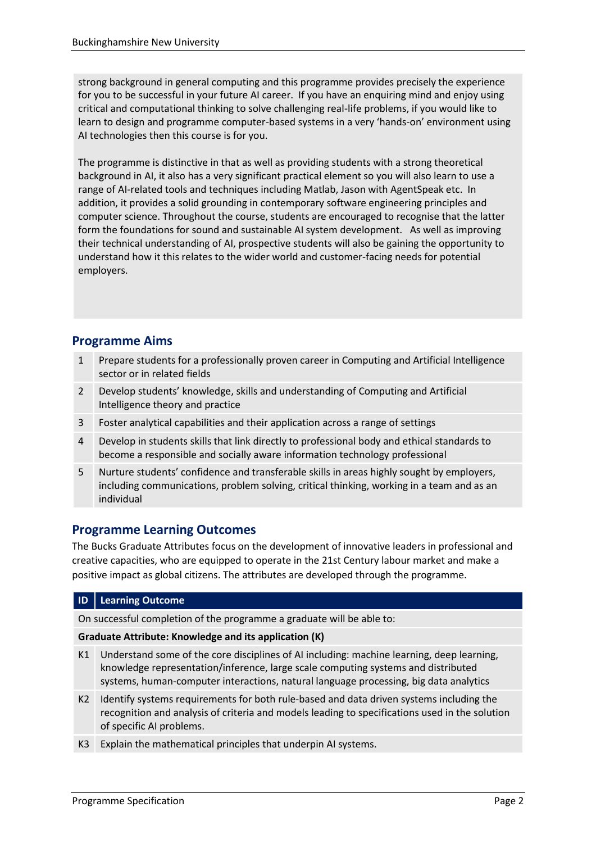strong background in general computing and this programme provides precisely the experience for you to be successful in your future AI career. If you have an enquiring mind and enjoy using critical and computational thinking to solve challenging real-life problems, if you would like to learn to design and programme computer-based systems in a very 'hands-on' environment using AI technologies then this course is for you.

The programme is distinctive in that as well as providing students with a strong theoretical background in AI, it also has a very significant practical element so you will also learn to use a range of AI-related tools and techniques including Matlab, Jason with AgentSpeak etc. In addition, it provides a solid grounding in contemporary software engineering principles and computer science. Throughout the course, students are encouraged to recognise that the latter form the foundations for sound and sustainable AI system development. As well as improving their technical understanding of AI, prospective students will also be gaining the opportunity to understand how it this relates to the wider world and customer-facing needs for potential employers.

# **Programme Aims**

- 1 Prepare students for a professionally proven career in Computing and Artificial Intelligence sector or in related fields
- 2 Develop students' knowledge, skills and understanding of Computing and Artificial Intelligence theory and practice
- 3 Foster analytical capabilities and their application across a range of settings
- 4 Develop in students skills that link directly to professional body and ethical standards to become a responsible and socially aware information technology professional
- 5 Nurture students' confidence and transferable skills in areas highly sought by employers, including communications, problem solving, critical thinking, working in a team and as an individual

# **Programme Learning Outcomes**

The Bucks Graduate Attributes focus on the development of innovative leaders in professional and creative capacities, who are equipped to operate in the 21st Century labour market and make a positive impact as global citizens. The attributes are developed through the programme.

#### **ID Learning Outcome**

On successful completion of the programme a graduate will be able to:

#### **Graduate Attribute: Knowledge and its application (K)**

- K1 Understand some of the core disciplines of AI including: machine learning, deep learning, knowledge representation/inference, large scale computing systems and distributed systems, human-computer interactions, natural language processing, big data analytics
- K2 Identify systems requirements for both rule-based and data driven systems including the recognition and analysis of criteria and models leading to specifications used in the solution of specific AI problems.
- K3 Explain the mathematical principles that underpin AI systems.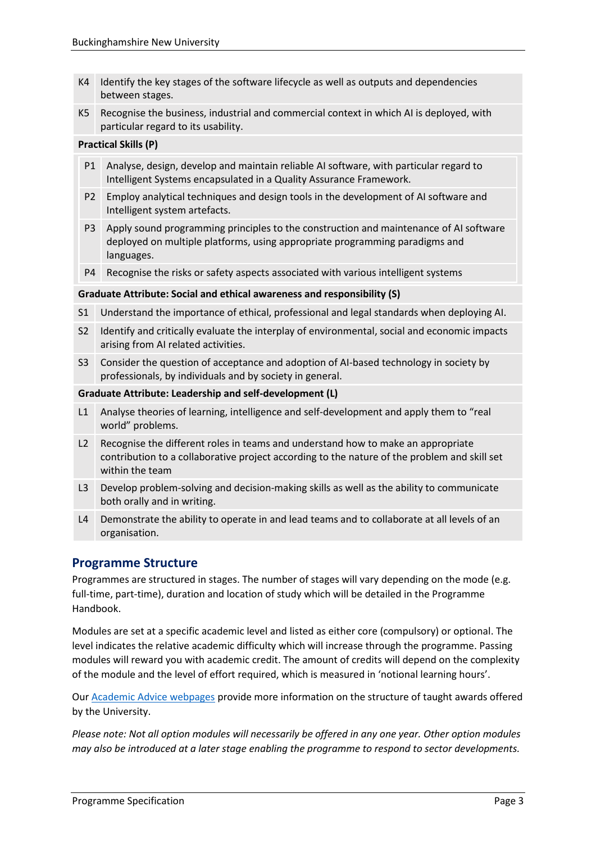- K4 Identify the key stages of the software lifecycle as well as outputs and dependencies between stages.
- K5 Recognise the business, industrial and commercial context in which AI is deployed, with particular regard to its usability.

#### **Practical Skills (P)**

- P1 Analyse, design, develop and maintain reliable AI software, with particular regard to Intelligent Systems encapsulated in a Quality Assurance Framework.
- P2 Employ analytical techniques and design tools in the development of AI software and Intelligent system artefacts.
- P3 Apply sound programming principles to the construction and maintenance of AI software deployed on multiple platforms, using appropriate programming paradigms and languages.
- P4 Recognise the risks or safety aspects associated with various intelligent systems

#### **Graduate Attribute: Social and ethical awareness and responsibility (S)**

- S1 Understand the importance of ethical, professional and legal standards when deploying AI.
- S2 Identify and critically evaluate the interplay of environmental, social and economic impacts arising from AI related activities.
- S3 Consider the question of acceptance and adoption of AI-based technology in society by professionals, by individuals and by society in general.

#### **Graduate Attribute: Leadership and self-development (L)**

- L1 Analyse theories of learning, intelligence and self-development and apply them to "real world" problems.
- L2 Recognise the different roles in teams and understand how to make an appropriate contribution to a collaborative project according to the nature of the problem and skill set within the team
- L3 Develop problem-solving and decision-making skills as well as the ability to communicate both orally and in writing.
- L4 Demonstrate the ability to operate in and lead teams and to collaborate at all levels of an organisation.

#### **Programme Structure**

Programmes are structured in stages. The number of stages will vary depending on the mode (e.g. full-time, part-time), duration and location of study which will be detailed in the Programme Handbook.

Modules are set at a specific academic level and listed as either core (compulsory) or optional. The level indicates the relative academic difficulty which will increase through the programme. Passing modules will reward you with academic credit. The amount of credits will depend on the complexity of the module and the level of effort required, which is measured in 'notional learning hours'.

Our [Academic Advice webpages](https://bucks.ac.uk/students/academicadvice/course-structure-and-regulations/how-your-course-is-structured) provide more information on the structure of taught awards offered by the University.

*Please note: Not all option modules will necessarily be offered in any one year. Other option modules may also be introduced at a later stage enabling the programme to respond to sector developments.*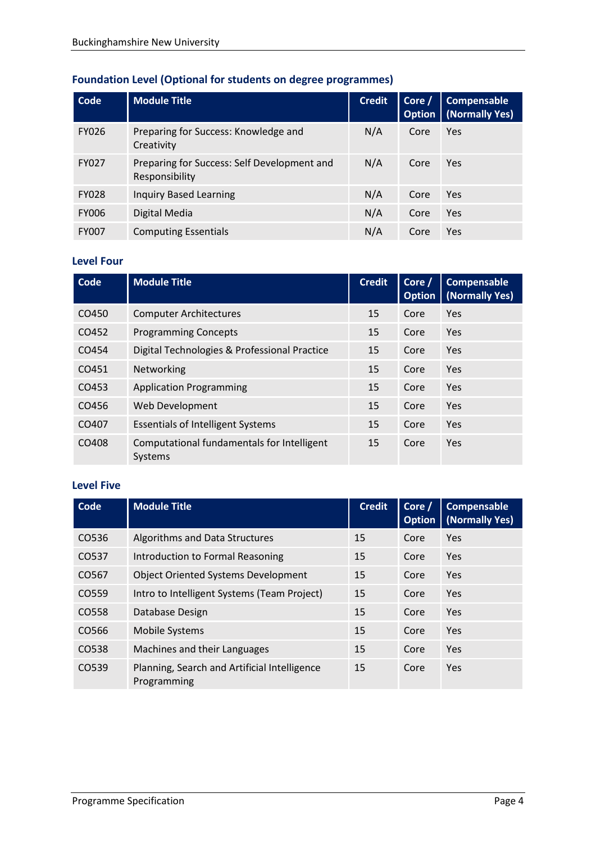# **Foundation Level (Optional for students on degree programmes)**

| Code         | <b>Module Title</b>                                           | <b>Credit</b> | Core /<br><b>Option</b> | Compensable<br>(Normally Yes) |
|--------------|---------------------------------------------------------------|---------------|-------------------------|-------------------------------|
| <b>FY026</b> | Preparing for Success: Knowledge and<br>Creativity            | N/A           | Core                    | Yes                           |
| <b>FY027</b> | Preparing for Success: Self Development and<br>Responsibility | N/A           | Core                    | Yes                           |
| <b>FY028</b> | <b>Inquiry Based Learning</b>                                 | N/A           | Core                    | Yes                           |
| <b>FY006</b> | Digital Media                                                 | N/A           | Core                    | Yes                           |
| <b>FY007</b> | <b>Computing Essentials</b>                                   | N/A           | Core                    | <b>Yes</b>                    |

### **Level Four**

| <b>Code</b> | <b>Module Title</b>                                   | <b>Credit</b> | Core /<br><b>Option</b> | Compensable<br>(Normally Yes) |
|-------------|-------------------------------------------------------|---------------|-------------------------|-------------------------------|
| CO450       | <b>Computer Architectures</b>                         | 15            | Core                    | Yes                           |
| CO452       | <b>Programming Concepts</b>                           | 15            | Core                    | Yes                           |
| CO454       | Digital Technologies & Professional Practice          | 15            | Core                    | Yes                           |
| CO451       | Networking                                            | 15            | Core                    | Yes                           |
| CO453       | <b>Application Programming</b>                        | 15            | Core                    | Yes                           |
| CO456       | Web Development                                       | 15            | Core                    | Yes                           |
| CO407       | <b>Essentials of Intelligent Systems</b>              | 15            | Core                    | Yes                           |
| CO408       | Computational fundamentals for Intelligent<br>Systems | 15            | Core                    | Yes                           |

#### **Level Five**

| Code  | <b>Module Title</b>                                         | <b>Credit</b> | Core /<br><b>Option</b> | <b>Compensable</b><br>(Normally Yes) |
|-------|-------------------------------------------------------------|---------------|-------------------------|--------------------------------------|
| CO536 | Algorithms and Data Structures                              | 15            | Core                    | Yes                                  |
| CO537 | Introduction to Formal Reasoning                            | 15            | Core                    | Yes                                  |
| CO567 | <b>Object Oriented Systems Development</b>                  | 15            | Core                    | <b>Yes</b>                           |
| CO559 | Intro to Intelligent Systems (Team Project)                 | 15            | Core                    | <b>Yes</b>                           |
| CO558 | Database Design                                             | 15            | Core                    | <b>Yes</b>                           |
| CO566 | <b>Mobile Systems</b>                                       | 15            | Core                    | <b>Yes</b>                           |
| CO538 | Machines and their Languages                                | 15            | Core                    | <b>Yes</b>                           |
| CO539 | Planning, Search and Artificial Intelligence<br>Programming | 15            | Core                    | <b>Yes</b>                           |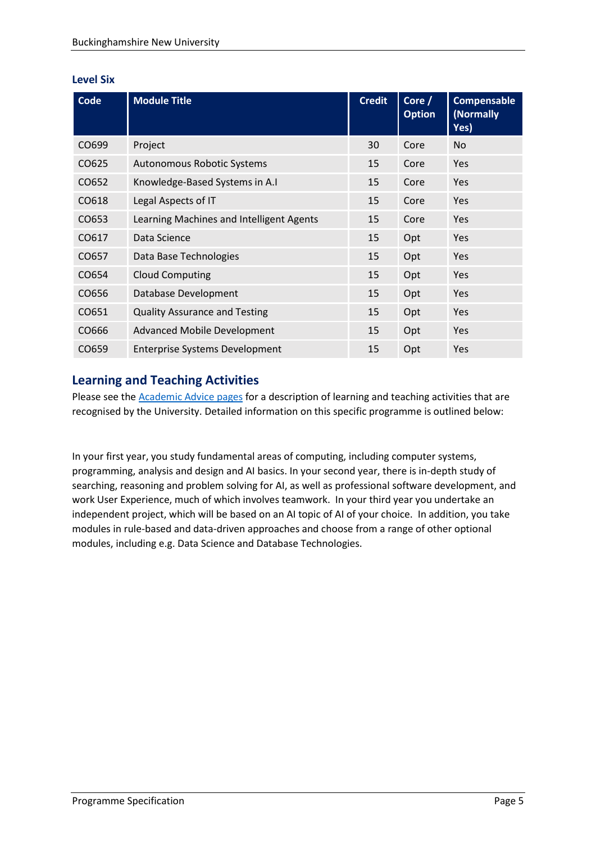#### **Level Six**

| Code  | <b>Module Title</b>                      | <b>Credit</b> | Core /<br><b>Option</b> | <b>Compensable</b><br>(Normally<br>Yes) |
|-------|------------------------------------------|---------------|-------------------------|-----------------------------------------|
| CO699 | Project                                  | 30            | Core                    | <b>No</b>                               |
| CO625 | <b>Autonomous Robotic Systems</b>        | 15            | Core                    | Yes                                     |
| CO652 | Knowledge-Based Systems in A.I           | 15            | Core                    | Yes                                     |
| CO618 | Legal Aspects of IT                      | 15            | Core                    | <b>Yes</b>                              |
| CO653 | Learning Machines and Intelligent Agents | 15            | Core                    | <b>Yes</b>                              |
| CO617 | Data Science                             | 15            | Opt                     | <b>Yes</b>                              |
| CO657 | Data Base Technologies                   | 15            | Opt                     | <b>Yes</b>                              |
| CO654 | <b>Cloud Computing</b>                   | 15            | Opt                     | <b>Yes</b>                              |
| CO656 | Database Development                     | 15            | Opt                     | <b>Yes</b>                              |
| CO651 | <b>Quality Assurance and Testing</b>     | 15            | Opt                     | <b>Yes</b>                              |
| CO666 | <b>Advanced Mobile Development</b>       | 15            | Opt                     | Yes                                     |
| CO659 | <b>Enterprise Systems Development</b>    | 15            | Opt                     | Yes                                     |

# **Learning and Teaching Activities**

Please see the **Academic Advice pages** for a description of learning and teaching activities that are recognised by the University. Detailed information on this specific programme is outlined below:

In your first year, you study fundamental areas of computing, including computer systems, programming, analysis and design and AI basics. In your second year, there is in-depth study of searching, reasoning and problem solving for AI, as well as professional software development, and work User Experience, much of which involves teamwork. In your third year you undertake an independent project, which will be based on an AI topic of AI of your choice. In addition, you take modules in rule-based and data-driven approaches and choose from a range of other optional modules, including e.g. Data Science and Database Technologies.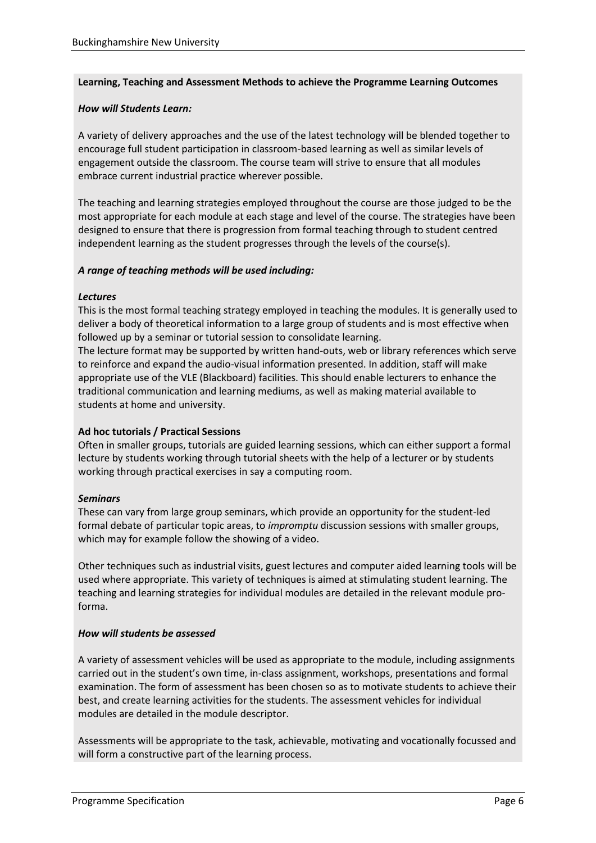#### **Learning, Teaching and Assessment Methods to achieve the Programme Learning Outcomes**

#### *How will Students Learn:*

A variety of delivery approaches and the use of the latest technology will be blended together to encourage full student participation in classroom-based learning as well as similar levels of engagement outside the classroom. The course team will strive to ensure that all modules embrace current industrial practice wherever possible.

The teaching and learning strategies employed throughout the course are those judged to be the most appropriate for each module at each stage and level of the course. The strategies have been designed to ensure that there is progression from formal teaching through to student centred independent learning as the student progresses through the levels of the course(s).

#### *A range of teaching methods will be used including:*

#### *Lectures*

This is the most formal teaching strategy employed in teaching the modules. It is generally used to deliver a body of theoretical information to a large group of students and is most effective when followed up by a seminar or tutorial session to consolidate learning.

The lecture format may be supported by written hand-outs, web or library references which serve to reinforce and expand the audio-visual information presented. In addition, staff will make appropriate use of the VLE (Blackboard) facilities. This should enable lecturers to enhance the traditional communication and learning mediums, as well as making material available to students at home and university.

#### **Ad hoc tutorials / Practical Sessions**

Often in smaller groups, tutorials are guided learning sessions, which can either support a formal lecture by students working through tutorial sheets with the help of a lecturer or by students working through practical exercises in say a computing room.

#### *Seminars*

These can vary from large group seminars, which provide an opportunity for the student-led formal debate of particular topic areas, to *impromptu* discussion sessions with smaller groups, which may for example follow the showing of a video.

Other techniques such as industrial visits, guest lectures and computer aided learning tools will be used where appropriate. This variety of techniques is aimed at stimulating student learning. The teaching and learning strategies for individual modules are detailed in the relevant module proforma.

#### *How will students be assessed*

A variety of assessment vehicles will be used as appropriate to the module, including assignments carried out in the student's own time, in-class assignment, workshops, presentations and formal examination. The form of assessment has been chosen so as to motivate students to achieve their best, and create learning activities for the students. The assessment vehicles for individual modules are detailed in the module descriptor.

Assessments will be appropriate to the task, achievable, motivating and vocationally focussed and will form a constructive part of the learning process.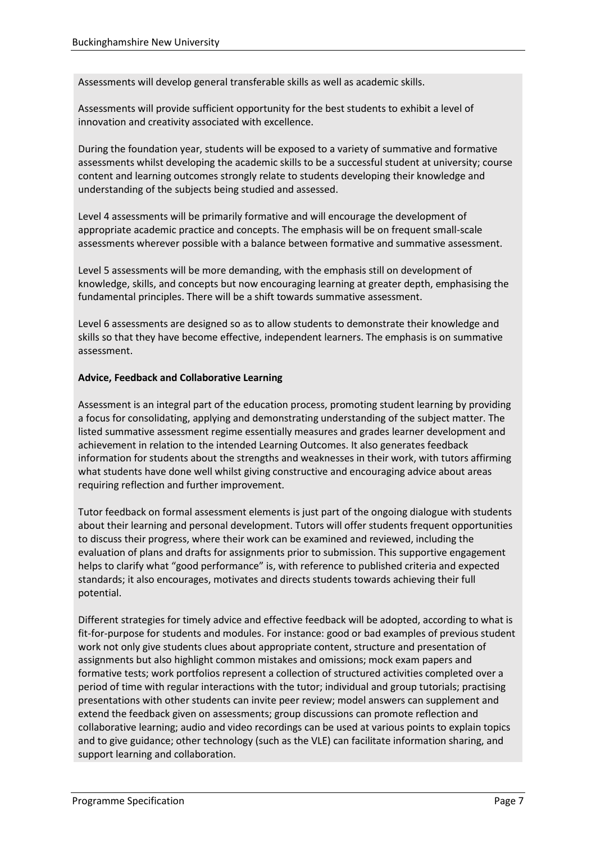Assessments will develop general transferable skills as well as academic skills.

Assessments will provide sufficient opportunity for the best students to exhibit a level of innovation and creativity associated with excellence.

During the foundation year, students will be exposed to a variety of summative and formative assessments whilst developing the academic skills to be a successful student at university; course content and learning outcomes strongly relate to students developing their knowledge and understanding of the subjects being studied and assessed.

Level 4 assessments will be primarily formative and will encourage the development of appropriate academic practice and concepts. The emphasis will be on frequent small-scale assessments wherever possible with a balance between formative and summative assessment.

Level 5 assessments will be more demanding, with the emphasis still on development of knowledge, skills, and concepts but now encouraging learning at greater depth, emphasising the fundamental principles. There will be a shift towards summative assessment.

Level 6 assessments are designed so as to allow students to demonstrate their knowledge and skills so that they have become effective, independent learners. The emphasis is on summative assessment.

#### **Advice, Feedback and Collaborative Learning**

Assessment is an integral part of the education process, promoting student learning by providing a focus for consolidating, applying and demonstrating understanding of the subject matter. The listed summative assessment regime essentially measures and grades learner development and achievement in relation to the intended Learning Outcomes. It also generates feedback information for students about the strengths and weaknesses in their work, with tutors affirming what students have done well whilst giving constructive and encouraging advice about areas requiring reflection and further improvement.

Tutor feedback on formal assessment elements is just part of the ongoing dialogue with students about their learning and personal development. Tutors will offer students frequent opportunities to discuss their progress, where their work can be examined and reviewed, including the evaluation of plans and drafts for assignments prior to submission. This supportive engagement helps to clarify what "good performance" is, with reference to published criteria and expected standards; it also encourages, motivates and directs students towards achieving their full potential.

Different strategies for timely advice and effective feedback will be adopted, according to what is fit-for-purpose for students and modules. For instance: good or bad examples of previous student work not only give students clues about appropriate content, structure and presentation of assignments but also highlight common mistakes and omissions; mock exam papers and formative tests; work portfolios represent a collection of structured activities completed over a period of time with regular interactions with the tutor; individual and group tutorials; practising presentations with other students can invite peer review; model answers can supplement and extend the feedback given on assessments; group discussions can promote reflection and collaborative learning; audio and video recordings can be used at various points to explain topics and to give guidance; other technology (such as the VLE) can facilitate information sharing, and support learning and collaboration.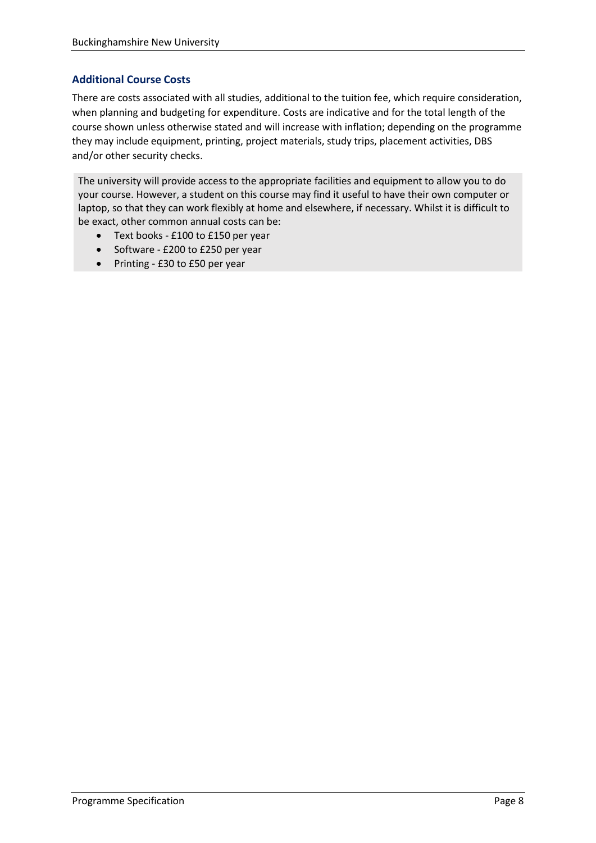#### **Additional Course Costs**

There are costs associated with all studies, additional to the tuition fee, which require consideration, when planning and budgeting for expenditure. Costs are indicative and for the total length of the course shown unless otherwise stated and will increase with inflation; depending on the programme they may include equipment, printing, project materials, study trips, placement activities, DBS and/or other security checks.

The university will provide access to the appropriate facilities and equipment to allow you to do your course. However, a student on this course may find it useful to have their own computer or laptop, so that they can work flexibly at home and elsewhere, if necessary. Whilst it is difficult to be exact, other common annual costs can be:

- Text books £100 to £150 per year
- Software £200 to £250 per year
- Printing £30 to £50 per year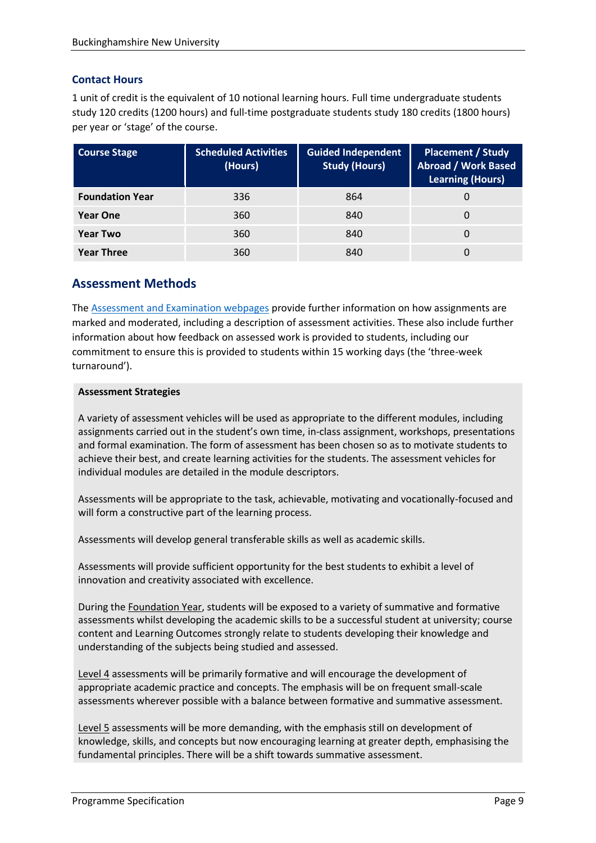#### **Contact Hours**

1 unit of credit is the equivalent of 10 notional learning hours. Full time undergraduate students study 120 credits (1200 hours) and full-time postgraduate students study 180 credits (1800 hours) per year or 'stage' of the course.

| <b>Course Stage</b>    | <b>Scheduled Activities</b><br>(Hours) | Guided Independent<br><b>Study (Hours)</b> | <b>Placement / Study</b><br><b>Abroad / Work Based</b><br><b>Learning (Hours)</b> |
|------------------------|----------------------------------------|--------------------------------------------|-----------------------------------------------------------------------------------|
| <b>Foundation Year</b> | 336                                    | 864                                        |                                                                                   |
| <b>Year One</b>        | 360                                    | 840                                        |                                                                                   |
| <b>Year Two</b>        | 360                                    | 840                                        |                                                                                   |
| <b>Year Three</b>      | 360                                    | 840                                        |                                                                                   |

# **Assessment Methods**

The [Assessment and Examination webpages](https://bucks.ac.uk/students/academicadvice/assessment-and-examination) provide further information on how assignments are marked and moderated, including a description of assessment activities. These also include further information about how feedback on assessed work is provided to students, including our commitment to ensure this is provided to students within 15 working days (the 'three-week turnaround').

#### **Assessment Strategies**

A variety of assessment vehicles will be used as appropriate to the different modules, including assignments carried out in the student's own time, in-class assignment, workshops, presentations and formal examination. The form of assessment has been chosen so as to motivate students to achieve their best, and create learning activities for the students. The assessment vehicles for individual modules are detailed in the module descriptors.

Assessments will be appropriate to the task, achievable, motivating and vocationally-focused and will form a constructive part of the learning process.

Assessments will develop general transferable skills as well as academic skills.

Assessments will provide sufficient opportunity for the best students to exhibit a level of innovation and creativity associated with excellence.

During the Foundation Year, students will be exposed to a variety of summative and formative assessments whilst developing the academic skills to be a successful student at university; course content and Learning Outcomes strongly relate to students developing their knowledge and understanding of the subjects being studied and assessed.

Level 4 assessments will be primarily formative and will encourage the development of appropriate academic practice and concepts. The emphasis will be on frequent small-scale assessments wherever possible with a balance between formative and summative assessment.

Level 5 assessments will be more demanding, with the emphasis still on development of knowledge, skills, and concepts but now encouraging learning at greater depth, emphasising the fundamental principles. There will be a shift towards summative assessment.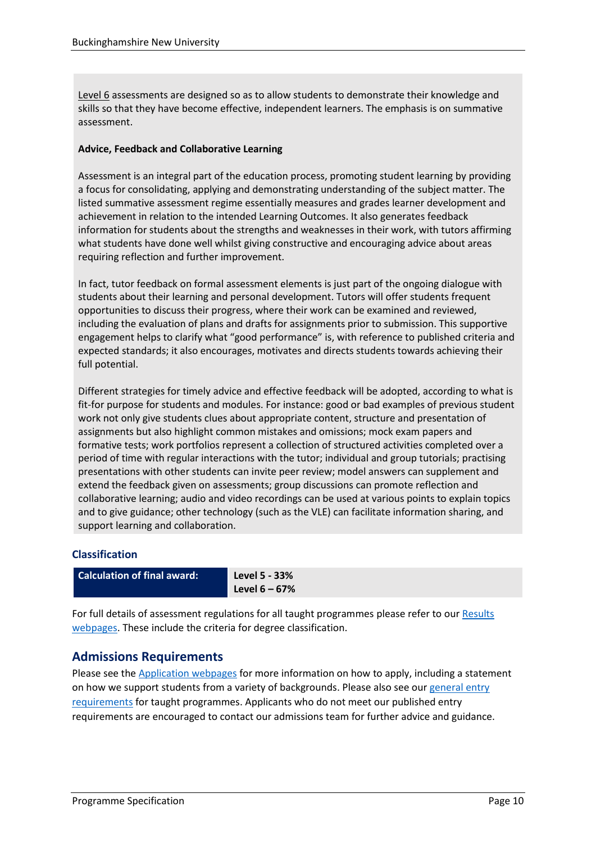Level 6 assessments are designed so as to allow students to demonstrate their knowledge and skills so that they have become effective, independent learners. The emphasis is on summative assessment.

#### **Advice, Feedback and Collaborative Learning**

Assessment is an integral part of the education process, promoting student learning by providing a focus for consolidating, applying and demonstrating understanding of the subject matter. The listed summative assessment regime essentially measures and grades learner development and achievement in relation to the intended Learning Outcomes. It also generates feedback information for students about the strengths and weaknesses in their work, with tutors affirming what students have done well whilst giving constructive and encouraging advice about areas requiring reflection and further improvement.

In fact, tutor feedback on formal assessment elements is just part of the ongoing dialogue with students about their learning and personal development. Tutors will offer students frequent opportunities to discuss their progress, where their work can be examined and reviewed, including the evaluation of plans and drafts for assignments prior to submission. This supportive engagement helps to clarify what "good performance" is, with reference to published criteria and expected standards; it also encourages, motivates and directs students towards achieving their full potential.

Different strategies for timely advice and effective feedback will be adopted, according to what is fit-for purpose for students and modules. For instance: good or bad examples of previous student work not only give students clues about appropriate content, structure and presentation of assignments but also highlight common mistakes and omissions; mock exam papers and formative tests; work portfolios represent a collection of structured activities completed over a period of time with regular interactions with the tutor; individual and group tutorials; practising presentations with other students can invite peer review; model answers can supplement and extend the feedback given on assessments; group discussions can promote reflection and collaborative learning; audio and video recordings can be used at various points to explain topics and to give guidance; other technology (such as the VLE) can facilitate information sharing, and support learning and collaboration.

#### **Classification**

| <b>Calculation of final award:</b> | Level 5 - 33%    |
|------------------------------------|------------------|
|                                    | Level $6 - 67\%$ |

For full details of assessment regulations for all taught programmes please refer to our [Results](https://bucks.ac.uk/students/academicadvice/results)  [webpages.](https://bucks.ac.uk/students/academicadvice/results) These include the criteria for degree classification.

# **Admissions Requirements**

Please see the [Application webpages](https://bucks.ac.uk/applying-to-bucks) for more information on how to apply, including a statement on how we support students from a variety of backgrounds. Please also see our [general entry](https://bucks.ac.uk/applying-to-bucks/general-entry-requirements)  [requirements](https://bucks.ac.uk/applying-to-bucks/general-entry-requirements) for taught programmes. Applicants who do not meet our published entry requirements are encouraged to contact our admissions team for further advice and guidance.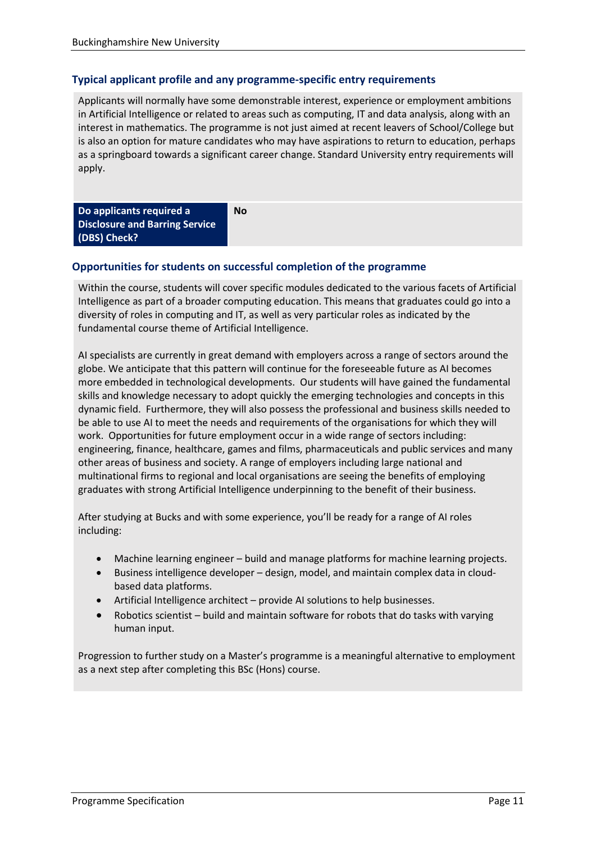#### **Typical applicant profile and any programme-specific entry requirements**

Applicants will normally have some demonstrable interest, experience or employment ambitions in Artificial Intelligence or related to areas such as computing, IT and data analysis, along with an interest in mathematics. The programme is not just aimed at recent leavers of School/College but is also an option for mature candidates who may have aspirations to return to education, perhaps as a springboard towards a significant career change. Standard University entry requirements will apply.

| Do applicants required a              | No |
|---------------------------------------|----|
| <b>Disclosure and Barring Service</b> |    |
| (DBS) Check?                          |    |

#### **Opportunities for students on successful completion of the programme**

Within the course, students will cover specific modules dedicated to the various facets of Artificial Intelligence as part of a broader computing education. This means that graduates could go into a diversity of roles in computing and IT, as well as very particular roles as indicated by the fundamental course theme of Artificial Intelligence.

AI specialists are currently in great demand with employers across a range of sectors around the globe. We anticipate that this pattern will continue for the foreseeable future as AI becomes more embedded in technological developments. Our students will have gained the fundamental skills and knowledge necessary to adopt quickly the emerging technologies and concepts in this dynamic field. Furthermore, they will also possess the professional and business skills needed to be able to use AI to meet the needs and requirements of the organisations for which they will work. Opportunities for future employment occur in a wide range of sectors including: engineering, finance, healthcare, games and films, pharmaceuticals and public services and many other areas of business and society. A range of employers including large national and multinational firms to regional and local organisations are seeing the benefits of employing graduates with strong Artificial Intelligence underpinning to the benefit of their business.

After studying at Bucks and with some experience, you'll be ready for a range of AI roles including:

- Machine learning engineer build and manage platforms for machine learning projects.
- Business intelligence developer design, model, and maintain complex data in cloudbased data platforms.
- Artificial Intelligence architect provide AI solutions to help businesses.
- Robotics scientist build and maintain software for robots that do tasks with varying human input.

Progression to further study on a Master's programme is a meaningful alternative to employment as a next step after completing this BSc (Hons) course.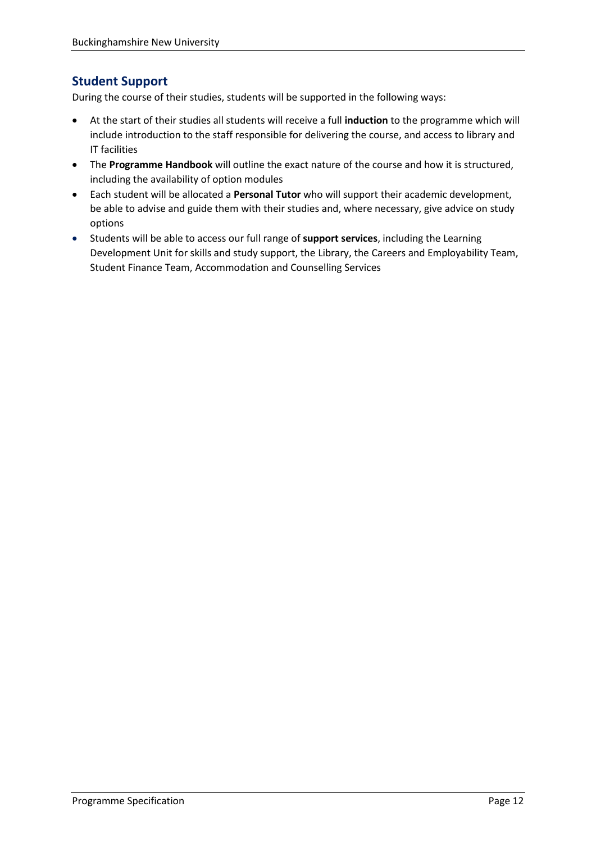# **Student Support**

During the course of their studies, students will be supported in the following ways:

- At the start of their studies all students will receive a full **induction** to the programme which will include introduction to the staff responsible for delivering the course, and access to library and IT facilities
- The **Programme Handbook** will outline the exact nature of the course and how it is structured, including the availability of option modules
- Each student will be allocated a **Personal Tutor** who will support their academic development, be able to advise and guide them with their studies and, where necessary, give advice on study options
- Students will be able to access our full range of **support services**, including the Learning Development Unit for skills and study support, the Library, the Careers and Employability Team, Student Finance Team, Accommodation and Counselling Services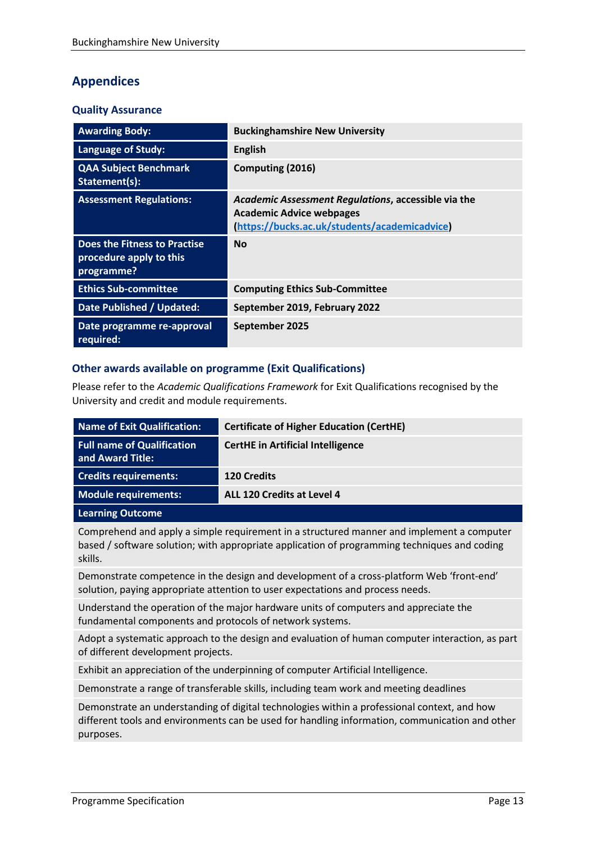# **Appendices**

#### **Quality Assurance**

| <b>Awarding Body:</b>                                                        | <b>Buckinghamshire New University</b>                                                                                                   |
|------------------------------------------------------------------------------|-----------------------------------------------------------------------------------------------------------------------------------------|
| <b>Language of Study:</b>                                                    | <b>English</b>                                                                                                                          |
| <b>QAA Subject Benchmark</b><br>Statement(s):                                | Computing (2016)                                                                                                                        |
| <b>Assessment Regulations:</b>                                               | Academic Assessment Regulations, accessible via the<br><b>Academic Advice webpages</b><br>(https://bucks.ac.uk/students/academicadvice) |
| <b>Does the Fitness to Practise</b><br>procedure apply to this<br>programme? | <b>No</b>                                                                                                                               |
| <b>Ethics Sub-committee</b>                                                  | <b>Computing Ethics Sub-Committee</b>                                                                                                   |
| Date Published / Updated:                                                    | September 2019, February 2022                                                                                                           |
| Date programme re-approval<br>required:                                      | September 2025                                                                                                                          |

#### **Other awards available on programme (Exit Qualifications)**

Please refer to the *Academic Qualifications Framework* for Exit Qualifications recognised by the University and credit and module requirements.

| Name of Exit Qualification:                           | <b>Certificate of Higher Education (CertHE)</b> |
|-------------------------------------------------------|-------------------------------------------------|
| <b>Full name of Qualification</b><br>and Award Title: | <b>CertHE</b> in Artificial Intelligence        |
| <b>Credits requirements:</b>                          | <b>120 Credits</b>                              |
| Module requirements:                                  | ALL 120 Credits at Level 4                      |
| <b>Learning Outcome</b>                               |                                                 |

Comprehend and apply a simple requirement in a structured manner and implement a computer based / software solution; with appropriate application of programming techniques and coding skills.

Demonstrate competence in the design and development of a cross-platform Web 'front-end' solution, paying appropriate attention to user expectations and process needs.

Understand the operation of the major hardware units of computers and appreciate the fundamental components and protocols of network systems.

Adopt a systematic approach to the design and evaluation of human computer interaction, as part of different development projects.

Exhibit an appreciation of the underpinning of computer Artificial Intelligence.

Demonstrate a range of transferable skills, including team work and meeting deadlines

Demonstrate an understanding of digital technologies within a professional context, and how different tools and environments can be used for handling information, communication and other purposes.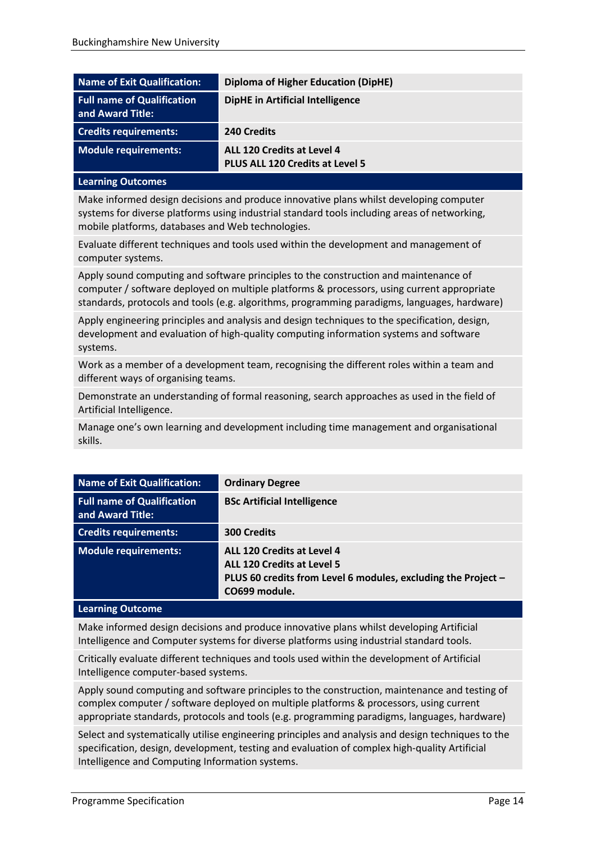| amain a Autocanoco                                    |                                                               |
|-------------------------------------------------------|---------------------------------------------------------------|
| Module requirements:                                  | ALL 120 Credits at Level 4<br>PLUS ALL 120 Credits at Level 5 |
| <b>Credits requirements:</b>                          | 240 Credits                                                   |
| <b>Full name of Qualification</b><br>and Award Title: | <b>DipHE</b> in Artificial Intelligence                       |
| Name of Exit Qualification:                           | <b>Diploma of Higher Education (DipHE)</b>                    |

#### **Learning Outcomes**

Make informed design decisions and produce innovative plans whilst developing computer systems for diverse platforms using industrial standard tools including areas of networking, mobile platforms, databases and Web technologies.

Evaluate different techniques and tools used within the development and management of computer systems.

Apply sound computing and software principles to the construction and maintenance of computer / software deployed on multiple platforms & processors, using current appropriate standards, protocols and tools (e.g. algorithms, programming paradigms, languages, hardware)

Apply engineering principles and analysis and design techniques to the specification, design, development and evaluation of high-quality computing information systems and software systems.

Work as a member of a development team, recognising the different roles within a team and different ways of organising teams.

Demonstrate an understanding of formal reasoning, search approaches as used in the field of Artificial Intelligence.

Manage one's own learning and development including time management and organisational skills.

| <b>Name of Exit Qualification:</b>                    | <b>Ordinary Degree</b>                                                                                                                            |
|-------------------------------------------------------|---------------------------------------------------------------------------------------------------------------------------------------------------|
| <b>Full name of Qualification</b><br>and Award Title: | <b>BSc Artificial Intelligence</b>                                                                                                                |
| <b>Credits requirements:</b>                          | <b>300 Credits</b>                                                                                                                                |
| <b>Module requirements:</b>                           | ALL 120 Credits at Level 4<br><b>ALL 120 Credits at Level 5</b><br>PLUS 60 credits from Level 6 modules, excluding the Project -<br>CO699 module. |

#### **Learning Outcome**

Make informed design decisions and produce innovative plans whilst developing Artificial Intelligence and Computer systems for diverse platforms using industrial standard tools.

Critically evaluate different techniques and tools used within the development of Artificial Intelligence computer-based systems.

Apply sound computing and software principles to the construction, maintenance and testing of complex computer / software deployed on multiple platforms & processors, using current appropriate standards, protocols and tools (e.g. programming paradigms, languages, hardware)

Select and systematically utilise engineering principles and analysis and design techniques to the specification, design, development, testing and evaluation of complex high-quality Artificial Intelligence and Computing Information systems.